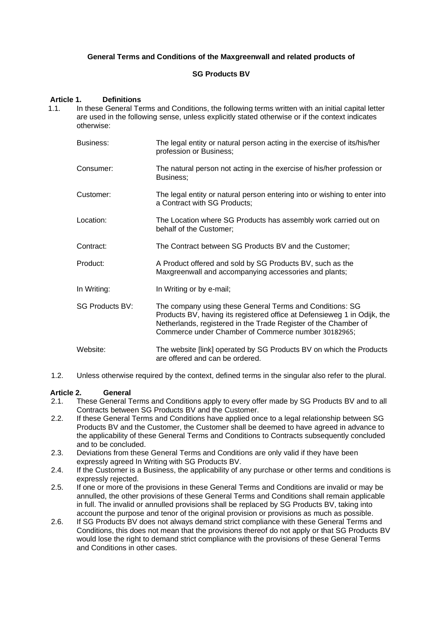# **General Terms and Conditions of the Maxgreenwall and related products of**

# **SG Products BV**

#### **Article 1. Definitions**

- 1.1. In these General Terms and Conditions, the following terms written with an initial capital letter are used in the following sense, unless explicitly stated otherwise or if the context indicates otherwise:
	- Business: The legal entity or natural person acting in the exercise of its/his/her profession or Business;
	- Consumer: The natural person not acting in the exercise of his/her profession or Business;
	- Customer: The legal entity or natural person entering into or wishing to enter into a Contract with SG Products;
	- Location: The Location where SG Products has assembly work carried out on behalf of the Customer;
	- Contract: The Contract between SG Products BV and the Customer;
	- Product: A Product offered and sold by SG Products BV, such as the Maxgreenwall and accompanying accessories and plants;
	- In Writing: In Writing or by e-mail;
	- SG Products BV: The company using these General Terms and Conditions: SG Products BV, having its registered office at Defensieweg 1 in Odijk, the Netherlands, registered in the Trade Register of the Chamber of Commerce under Chamber of Commerce number 30182965;
	- Website: The website [link] operated by SG Products BV on which the Products are offered and can be ordered.
- 1.2. Unless otherwise required by the context, defined terms in the singular also refer to the plural.

#### **Article 2. General**

- 2.1. These General Terms and Conditions apply to every offer made by SG Products BV and to all Contracts between SG Products BV and the Customer.
- 2.2. If these General Terms and Conditions have applied once to a legal relationship between SG Products BV and the Customer, the Customer shall be deemed to have agreed in advance to the applicability of these General Terms and Conditions to Contracts subsequently concluded and to be concluded.
- 2.3. Deviations from these General Terms and Conditions are only valid if they have been expressly agreed In Writing with SG Products BV.
- 2.4. If the Customer is a Business, the applicability of any purchase or other terms and conditions is expressly rejected.
- 2.5. If one or more of the provisions in these General Terms and Conditions are invalid or may be annulled, the other provisions of these General Terms and Conditions shall remain applicable in full. The invalid or annulled provisions shall be replaced by SG Products BV, taking into account the purpose and tenor of the original provision or provisions as much as possible.
- 2.6. If SG Products BV does not always demand strict compliance with these General Terms and Conditions, this does not mean that the provisions thereof do not apply or that SG Products BV would lose the right to demand strict compliance with the provisions of these General Terms and Conditions in other cases.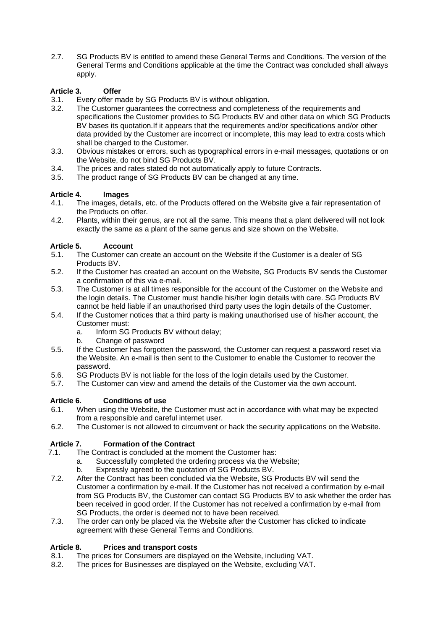2.7. SG Products BV is entitled to amend these General Terms and Conditions. The version of the General Terms and Conditions applicable at the time the Contract was concluded shall always apply.

# **Article 3. Offer**

- 3.1. Every offer made by SG Products BV is without obligation.
- 3.2. The Customer guarantees the correctness and completeness of the requirements and specifications the Customer provides to SG Products BV and other data on which SG Products BV bases its quotation.If it appears that the requirements and/or specifications and/or other data provided by the Customer are incorrect or incomplete, this may lead to extra costs which shall be charged to the Customer.
- 3.3. Obvious mistakes or errors, such as typographical errors in e-mail messages, quotations or on the Website, do not bind SG Products BV.
- 3.4. The prices and rates stated do not automatically apply to future Contracts.
- 3.5. The product range of SG Products BV can be changed at any time.

# **Article 4. Images**

- 4.1. The images, details, etc. of the Products offered on the Website give a fair representation of the Products on offer.
- 4.2. Plants, within their genus, are not all the same. This means that a plant delivered will not look exactly the same as a plant of the same genus and size shown on the Website.

# **Article 5. Account**

- 5.1. The Customer can create an account on the Website if the Customer is a dealer of SG Products **BV**
- 5.2. If the Customer has created an account on the Website, SG Products BV sends the Customer a confirmation of this via e-mail.
- 5.3. The Customer is at all times responsible for the account of the Customer on the Website and the login details. The Customer must handle his/her login details with care. SG Products BV cannot be held liable if an unauthorised third party uses the login details of the Customer.
- 5.4. If the Customer notices that a third party is making unauthorised use of his/her account, the Customer must:
	- a. Inform SG Products BV without delay;
	- b. Change of password
- 5.5. If the Customer has forgotten the password, the Customer can request a password reset via the Website. An e-mail is then sent to the Customer to enable the Customer to recover the password.
- 5.6. SG Products BV is not liable for the loss of the login details used by the Customer.
- 5.7. The Customer can view and amend the details of the Customer via the own account.

# **Article 6. Conditions of use**

- 6.1. When using the Website, the Customer must act in accordance with what may be expected from a responsible and careful internet user.
- 6.2. The Customer is not allowed to circumvent or hack the security applications on the Website.

# **Article 7. Formation of the Contract**

- 7.1. The Contract is concluded at the moment the Customer has:
	- a. Successfully completed the ordering process via the Website;
	- b. Expressly agreed to the quotation of SG Products BV.
- 7.2. After the Contract has been concluded via the Website, SG Products BV will send the Customer a confirmation by e-mail. If the Customer has not received a confirmation by e-mail from SG Products BV, the Customer can contact SG Products BV to ask whether the order has been received in good order. If the Customer has not received a confirmation by e-mail from SG Products, the order is deemed not to have been received.
- 7.3. The order can only be placed via the Website after the Customer has clicked to indicate agreement with these General Terms and Conditions.

#### **Article 8. Prices and transport costs**

- 8.1. The prices for Consumers are displayed on the Website, including VAT.
- 8.2. The prices for Businesses are displayed on the Website, excluding VAT.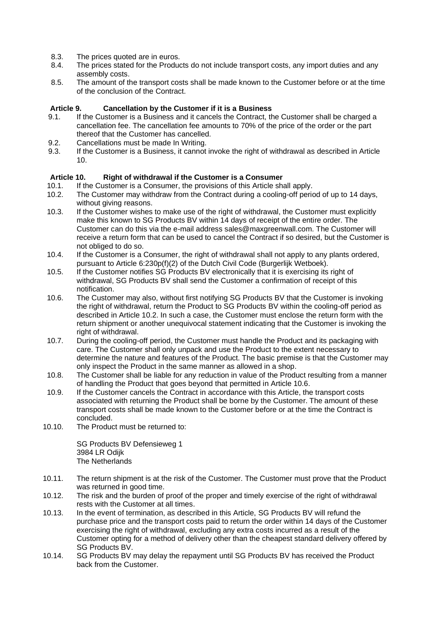- 8.3. The prices quoted are in euros.
- 8.4. The prices stated for the Products do not include transport costs, any import duties and any assembly costs.
- 8.5. The amount of the transport costs shall be made known to the Customer before or at the time of the conclusion of the Contract.

#### **Article 9. Cancellation by the Customer if it is a Business**

- 9.1. If the Customer is a Business and it cancels the Contract, the Customer shall be charged a cancellation fee. The cancellation fee amounts to 70% of the price of the order or the part thereof that the Customer has cancelled.
- 9.2. Cancellations must be made In Writing.
- 9.3. If the Customer is a Business, it cannot invoke the right of withdrawal as described in Article 10.

#### **Article 10. Right of withdrawal if the Customer is a Consumer**

- 10.1. If the Customer is a Consumer, the provisions of this Article shall apply.<br>10.2. The Customer may withdraw from the Contract during a cooling-off period
- The Customer may withdraw from the Contract during a cooling-off period of up to 14 days, without giving reasons.
- 10.3. If the Customer wishes to make use of the right of withdrawal, the Customer must explicitly make this known to SG Products BV within 14 days of receipt of the entire order. The Customer can do this via the e-mail address sales@maxgreenwall.com. The Customer will receive a return form that can be used to cancel the Contract if so desired, but the Customer is not obliged to do so.
- 10.4. If the Customer is a Consumer, the right of withdrawal shall not apply to any plants ordered, pursuant to Article 6:230p(f)(2) of the Dutch Civil Code (Burgerlijk Wetboek).
- 10.5. If the Customer notifies SG Products BV electronically that it is exercising its right of withdrawal, SG Products BV shall send the Customer a confirmation of receipt of this notification.
- 10.6. The Customer may also, without first notifying SG Products BV that the Customer is invoking the right of withdrawal, return the Product to SG Products BV within the cooling-off period as described in Article 10.2. In such a case, the Customer must enclose the return form with the return shipment or another unequivocal statement indicating that the Customer is invoking the right of withdrawal.
- 10.7. During the cooling-off period, the Customer must handle the Product and its packaging with care. The Customer shall only unpack and use the Product to the extent necessary to determine the nature and features of the Product. The basic premise is that the Customer may only inspect the Product in the same manner as allowed in a shop.
- 10.8. The Customer shall be liable for any reduction in value of the Product resulting from a manner of handling the Product that goes beyond that permitted in Article 10.6.
- 10.9. If the Customer cancels the Contract in accordance with this Article, the transport costs associated with returning the Product shall be borne by the Customer. The amount of these transport costs shall be made known to the Customer before or at the time the Contract is concluded.
- 10.10. The Product must be returned to:

SG Products BV Defensieweg 1 3984 LR Odijk The Netherlands

- 10.11. The return shipment is at the risk of the Customer. The Customer must prove that the Product was returned in good time.
- 10.12. The risk and the burden of proof of the proper and timely exercise of the right of withdrawal rests with the Customer at all times.
- 10.13. In the event of termination, as described in this Article, SG Products BV will refund the purchase price and the transport costs paid to return the order within 14 days of the Customer exercising the right of withdrawal, excluding any extra costs incurred as a result of the Customer opting for a method of delivery other than the cheapest standard delivery offered by SG Products BV.
- 10.14. SG Products BV may delay the repayment until SG Products BV has received the Product back from the Customer.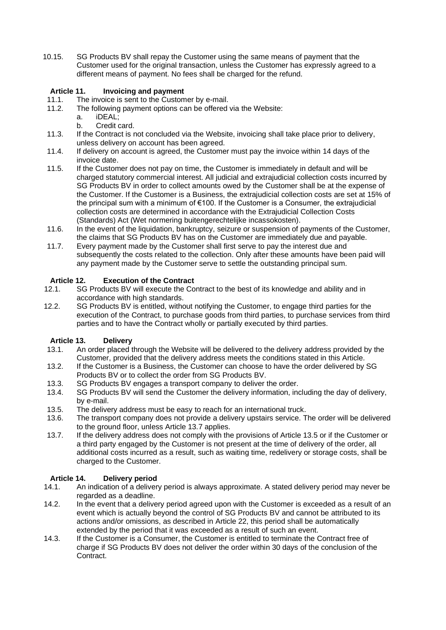10.15. SG Products BV shall repay the Customer using the same means of payment that the Customer used for the original transaction, unless the Customer has expressly agreed to a different means of payment. No fees shall be charged for the refund.

# **Article 11. Invoicing and payment**

- 11.1. The invoice is sent to the Customer by e-mail.
- 11.2. The following payment options can be offered via the Website:
	- a. iDEAL;
	- b. Credit card.
- 11.3. If the Contract is not concluded via the Website, invoicing shall take place prior to delivery, unless delivery on account has been agreed.
- 11.4. If delivery on account is agreed, the Customer must pay the invoice within 14 days of the invoice date.
- 11.5. If the Customer does not pay on time, the Customer is immediately in default and will be charged statutory commercial interest. All judicial and extrajudicial collection costs incurred by SG Products BV in order to collect amounts owed by the Customer shall be at the expense of the Customer. If the Customer is a Business, the extrajudicial collection costs are set at 15% of the principal sum with a minimum of  $\epsilon$ 100. If the Customer is a Consumer, the extrajudicial collection costs are determined in accordance with the Extrajudicial Collection Costs (Standards) Act (Wet normering buitengerechtelijke incassokosten).
- 11.6. In the event of the liquidation, bankruptcy, seizure or suspension of payments of the Customer, the claims that SG Products BV has on the Customer are immediately due and payable.
- 11.7. Every payment made by the Customer shall first serve to pay the interest due and subsequently the costs related to the collection. Only after these amounts have been paid will any payment made by the Customer serve to settle the outstanding principal sum.

# **Article 12. Execution of the Contract** 12.1. SG Products BV will execute the Co

- SG Products BV will execute the Contract to the best of its knowledge and ability and in accordance with high standards.
- 12.2. SG Products BV is entitled, without notifying the Customer, to engage third parties for the execution of the Contract, to purchase goods from third parties, to purchase services from third parties and to have the Contract wholly or partially executed by third parties.

#### **Article 13. Delivery**

- 13.1. An order placed through the Website will be delivered to the delivery address provided by the Customer, provided that the delivery address meets the conditions stated in this Article.
- 13.2. If the Customer is a Business, the Customer can choose to have the order delivered by SG Products BV or to collect the order from SG Products BV.
- 13.3. SG Products BV engages a transport company to deliver the order.
- 13.4. SG Products BV will send the Customer the delivery information, including the day of delivery, by e-mail.
- 13.5. The delivery address must be easy to reach for an international truck.
- 13.6. The transport company does not provide a delivery upstairs service. The order will be delivered to the ground floor, unless Article 13.7 applies.
- 13.7. If the delivery address does not comply with the provisions of Article 13.5 or if the Customer or a third party engaged by the Customer is not present at the time of delivery of the order, all additional costs incurred as a result, such as waiting time, redelivery or storage costs, shall be charged to the Customer.

# **Article 14. Delivery period**

- 14.1. An indication of a delivery period is always approximate. A stated delivery period may never be regarded as a deadline.
- 14.2. In the event that a delivery period agreed upon with the Customer is exceeded as a result of an event which is actually beyond the control of SG Products BV and cannot be attributed to its actions and/or omissions, as described in Article 22, this period shall be automatically extended by the period that it was exceeded as a result of such an event.
- 14.3. If the Customer is a Consumer, the Customer is entitled to terminate the Contract free of charge if SG Products BV does not deliver the order within 30 days of the conclusion of the Contract.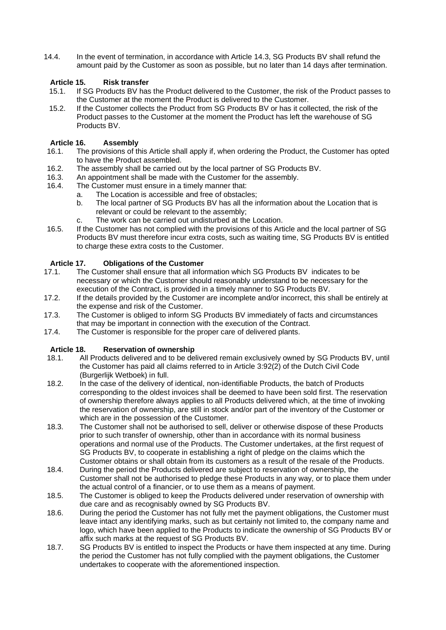14.4. In the event of termination, in accordance with Article 14.3, SG Products BV shall refund the amount paid by the Customer as soon as possible, but no later than 14 days after termination.

# **Article 15. Risk transfer**

- 15.1. If SG Products BV has the Product delivered to the Customer, the risk of the Product passes to the Customer at the moment the Product is delivered to the Customer.
- 15.2. If the Customer collects the Product from SG Products BV or has it collected, the risk of the Product passes to the Customer at the moment the Product has left the warehouse of SG Products BV.

# **Article 16. Assembly**

- 16.1. The provisions of this Article shall apply if, when ordering the Product, the Customer has opted to have the Product assembled.
- 16.2. The assembly shall be carried out by the local partner of SG Products BV.
- 16.3. An appointment shall be made with the Customer for the assembly.<br>16.4. The Customer must ensure in a timely manner that:
- The Customer must ensure in a timely manner that:
	- a. The Location is accessible and free of obstacles;
		- b. The local partner of SG Products BV has all the information about the Location that is relevant or could be relevant to the assembly;
		- c. The work can be carried out undisturbed at the Location.
- 16.5. If the Customer has not complied with the provisions of this Article and the local partner of SG Products BV must therefore incur extra costs, such as waiting time, SG Products BV is entitled to charge these extra costs to the Customer.

#### **Article 17. Obligations of the Customer**

- 17.1. The Customer shall ensure that all information which SG Products BV indicates to be necessary or which the Customer should reasonably understand to be necessary for the execution of the Contract, is provided in a timely manner to SG Products BV.
- 17.2. If the details provided by the Customer are incomplete and/or incorrect, this shall be entirely at the expense and risk of the Customer.
- 17.3. The Customer is obliged to inform SG Products BV immediately of facts and circumstances that may be important in connection with the execution of the Contract.
- 17.4. The Customer is responsible for the proper care of delivered plants.

#### **Article 18. Reservation of ownership**

- 18.1. All Products delivered and to be delivered remain exclusively owned by SG Products BV, until the Customer has paid all claims referred to in Article 3:92(2) of the Dutch Civil Code (Burgerlijk Wetboek) in full.
- 18.2. In the case of the delivery of identical, non-identifiable Products, the batch of Products corresponding to the oldest invoices shall be deemed to have been sold first. The reservation of ownership therefore always applies to all Products delivered which, at the time of invoking the reservation of ownership, are still in stock and/or part of the inventory of the Customer or which are in the possession of the Customer.
- 18.3. The Customer shall not be authorised to sell, deliver or otherwise dispose of these Products prior to such transfer of ownership, other than in accordance with its normal business operations and normal use of the Products. The Customer undertakes, at the first request of SG Products BV, to cooperate in establishing a right of pledge on the claims which the Customer obtains or shall obtain from its customers as a result of the resale of the Products.
- 18.4. During the period the Products delivered are subject to reservation of ownership, the Customer shall not be authorised to pledge these Products in any way, or to place them under the actual control of a financier, or to use them as a means of payment.
- 18.5. The Customer is obliged to keep the Products delivered under reservation of ownership with due care and as recognisably owned by SG Products BV.
- 18.6. During the period the Customer has not fully met the payment obligations, the Customer must leave intact any identifying marks, such as but certainly not limited to, the company name and logo, which have been applied to the Products to indicate the ownership of SG Products BV or affix such marks at the request of SG Products BV.
- 18.7. SG Products BV is entitled to inspect the Products or have them inspected at any time. During the period the Customer has not fully complied with the payment obligations, the Customer undertakes to cooperate with the aforementioned inspection.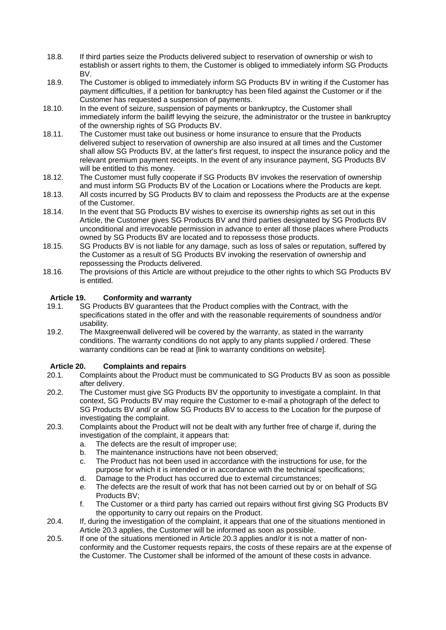- 18.8. If third parties seize the Products delivered subject to reservation of ownership or wish to establish or assert rights to them, the Customer is obliged to immediately inform SG Products BV.
- 18.9. The Customer is obliged to immediately inform SG Products BV in writing if the Customer has payment difficulties, if a petition for bankruptcy has been filed against the Customer or if the Customer has requested a suspension of payments.
- 18.10. In the event of seizure, suspension of payments or bankruptcy, the Customer shall immediately inform the bailiff levying the seizure, the administrator or the trustee in bankruptcy of the ownership rights of SG Products BV.
- 18.11. The Customer must take out business or home insurance to ensure that the Products delivered subject to reservation of ownership are also insured at all times and the Customer shall allow SG Products BV, at the latter's first request, to inspect the insurance policy and the relevant premium payment receipts. In the event of any insurance payment, SG Products BV will be entitled to this money.
- 18.12. The Customer must fully cooperate if SG Products BV invokes the reservation of ownership and must inform SG Products BV of the Location or Locations where the Products are kept.
- 18.13. All costs incurred by SG Products BV to claim and repossess the Products are at the expense of the Customer.
- 18.14. In the event that SG Products BV wishes to exercise its ownership rights as set out in this Article, the Customer gives SG Products BV and third parties designated by SG Products BV unconditional and irrevocable permission in advance to enter all those places where Products owned by SG Products BV are located and to repossess those products.
- 18.15. SG Products BV is not liable for any damage, such as loss of sales or reputation, suffered by the Customer as a result of SG Products BV invoking the reservation of ownership and repossessing the Products delivered.
- 18.16. The provisions of this Article are without prejudice to the other rights to which SG Products BV is entitled.

# **Article 19. Conformity and warranty**

- 19.1. SG Products BV guarantees that the Product complies with the Contract, with the specifications stated in the offer and with the reasonable requirements of soundness and/or usability.
- 19.2. The Maxgreenwall delivered will be covered by the warranty, as stated in the warranty conditions. The warranty conditions do not apply to any plants supplied / ordered. These warranty conditions can be read at [link to warranty conditions on website].

# **Article 20. Complaints and repairs**

- 20.1. Complaints about the Product must be communicated to SG Products BV as soon as possible after delivery.
- 20.2. The Customer must give SG Products BV the opportunity to investigate a complaint. In that context, SG Products BV may require the Customer to e-mail a photograph of the defect to SG Products BV and/ or allow SG Products BV to access to the Location for the purpose of investigating the complaint.
- 20.3. Complaints about the Product will not be dealt with any further free of charge if, during the investigation of the complaint, it appears that:
	- a. The defects are the result of improper use;
	- b. The maintenance instructions have not been observed;
	- c. The Product has not been used in accordance with the instructions for use, for the purpose for which it is intended or in accordance with the technical specifications;
	- d. Damage to the Product has occurred due to external circumstances;
	- e. The defects are the result of work that has not been carried out by or on behalf of SG Products BV;
	- f. The Customer or a third party has carried out repairs without first giving SG Products BV the opportunity to carry out repairs on the Product.
- 20.4. If, during the investigation of the complaint, it appears that one of the situations mentioned in Article 20.3 applies, the Customer will be informed as soon as possible.
- 20.5. If one of the situations mentioned in Article 20.3 applies and/or it is not a matter of nonconformity and the Customer requests repairs, the costs of these repairs are at the expense of the Customer. The Customer shall be informed of the amount of these costs in advance.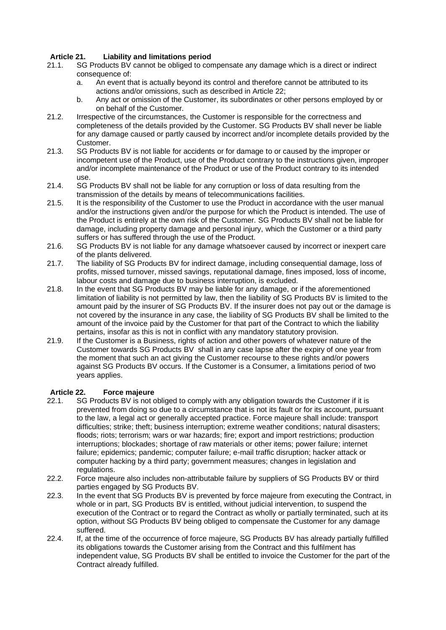# **Article 21. Liability and limitations period**

- 21.1. SG Products BV cannot be obliged to compensate any damage which is a direct or indirect consequence of:
	- a. An event that is actually beyond its control and therefore cannot be attributed to its actions and/or omissions, such as described in Article 22;
	- b. Any act or omission of the Customer, its subordinates or other persons employed by or on behalf of the Customer.
- 21.2. Irrespective of the circumstances, the Customer is responsible for the correctness and completeness of the details provided by the Customer. SG Products BV shall never be liable for any damage caused or partly caused by incorrect and/or incomplete details provided by the Customer.
- 21.3. SG Products BV is not liable for accidents or for damage to or caused by the improper or incompetent use of the Product, use of the Product contrary to the instructions given, improper and/or incomplete maintenance of the Product or use of the Product contrary to its intended use.
- 21.4. SG Products BV shall not be liable for any corruption or loss of data resulting from the transmission of the details by means of telecommunications facilities.
- 21.5. It is the responsibility of the Customer to use the Product in accordance with the user manual and/or the instructions given and/or the purpose for which the Product is intended. The use of the Product is entirely at the own risk of the Customer. SG Products BV shall not be liable for damage, including property damage and personal injury, which the Customer or a third party suffers or has suffered through the use of the Product.
- 21.6. SG Products BV is not liable for any damage whatsoever caused by incorrect or inexpert care of the plants delivered.
- 21.7. The liability of SG Products BV for indirect damage, including consequential damage, loss of profits, missed turnover, missed savings, reputational damage, fines imposed, loss of income, labour costs and damage due to business interruption, is excluded.
- 21.8. In the event that SG Products BV may be liable for any damage, or if the aforementioned limitation of liability is not permitted by law, then the liability of SG Products BV is limited to the amount paid by the insurer of SG Products BV. If the insurer does not pay out or the damage is not covered by the insurance in any case, the liability of SG Products BV shall be limited to the amount of the invoice paid by the Customer for that part of the Contract to which the liability pertains, insofar as this is not in conflict with any mandatory statutory provision.
- 21.9. If the Customer is a Business, rights of action and other powers of whatever nature of the Customer towards SG Products BV shall in any case lapse after the expiry of one year from the moment that such an act giving the Customer recourse to these rights and/or powers against SG Products BV occurs. If the Customer is a Consumer, a limitations period of two years applies.

# **Article 22. Force majeure**

- 22.1. SG Products BV is not obliged to comply with any obligation towards the Customer if it is prevented from doing so due to a circumstance that is not its fault or for its account, pursuant to the law, a legal act or generally accepted practice. Force majeure shall include: transport difficulties; strike; theft; business interruption; extreme weather conditions; natural disasters; floods; riots; terrorism; wars or war hazards; fire; export and import restrictions; production interruptions; blockades; shortage of raw materials or other items; power failure; internet failure; epidemics; pandemic; computer failure; e-mail traffic disruption; hacker attack or computer hacking by a third party; government measures; changes in legislation and regulations.
- 22.2. Force majeure also includes non-attributable failure by suppliers of SG Products BV or third parties engaged by SG Products BV.
- 22.3. In the event that SG Products BV is prevented by force majeure from executing the Contract, in whole or in part, SG Products BV is entitled, without judicial intervention, to suspend the execution of the Contract or to regard the Contract as wholly or partially terminated, such at its option, without SG Products BV being obliged to compensate the Customer for any damage suffered.
- 22.4. If, at the time of the occurrence of force majeure, SG Products BV has already partially fulfilled its obligations towards the Customer arising from the Contract and this fulfilment has independent value, SG Products BV shall be entitled to invoice the Customer for the part of the Contract already fulfilled.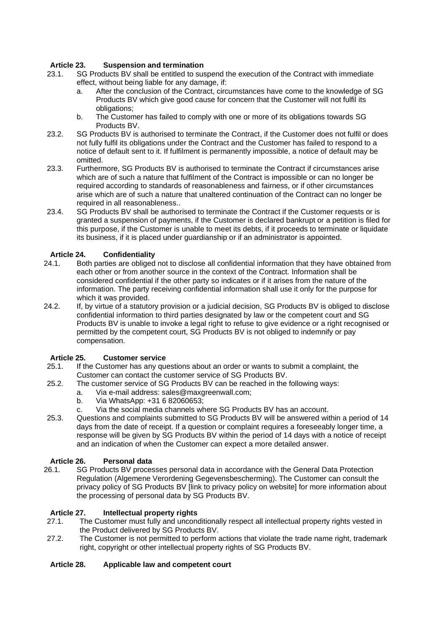# **Article 23. Suspension and termination**

- 23.1. SG Products BV shall be entitled to suspend the execution of the Contract with immediate effect, without being liable for any damage, if:
	- a. After the conclusion of the Contract, circumstances have come to the knowledge of SG Products BV which give good cause for concern that the Customer will not fulfil its obligations;
	- b. The Customer has failed to comply with one or more of its obligations towards SG Products BV.
- 23.2. SG Products BV is authorised to terminate the Contract, if the Customer does not fulfil or does not fully fulfil its obligations under the Contract and the Customer has failed to respond to a notice of default sent to it. If fulfilment is permanently impossible, a notice of default may be omitted.
- 23.3. Furthermore, SG Products BV is authorised to terminate the Contract if circumstances arise which are of such a nature that fulfilment of the Contract is impossible or can no longer be required according to standards of reasonableness and fairness, or if other circumstances arise which are of such a nature that unaltered continuation of the Contract can no longer be required in all reasonableness..
- 23.4. SG Products BV shall be authorised to terminate the Contract if the Customer requests or is granted a suspension of payments, if the Customer is declared bankrupt or a petition is filed for this purpose, if the Customer is unable to meet its debts, if it proceeds to terminate or liquidate its business, if it is placed under guardianship or if an administrator is appointed.

# **Article 24. Confidentiality**

- 24.1. Both parties are obliged not to disclose all confidential information that they have obtained from each other or from another source in the context of the Contract. Information shall be considered confidential if the other party so indicates or if it arises from the nature of the information. The party receiving confidential information shall use it only for the purpose for which it was provided.
- 24.2. If, by virtue of a statutory provision or a judicial decision, SG Products BV is obliged to disclose confidential information to third parties designated by law or the competent court and SG Products BV is unable to invoke a legal right to refuse to give evidence or a right recognised or permitted by the competent court, SG Products BV is not obliged to indemnify or pay compensation.

#### **Article 25. Customer service**

- 25.1. If the Customer has any questions about an order or wants to submit a complaint, the Customer can contact the customer service of SG Products BV.
- 25.2. The customer service of SG Products BV can be reached in the following ways:
	- a. Via e-mail address: sales@maxgreenwall.com;
	- b. Via WhatsApp: +31 6 82060653;
	- c. Via the social media channels where SG Products BV has an account.
- 25.3. Questions and complaints submitted to SG Products BV will be answered within a period of 14 days from the date of receipt. If a question or complaint requires a foreseeably longer time, a response will be given by SG Products BV within the period of 14 days with a notice of receipt and an indication of when the Customer can expect a more detailed answer.

#### **Article 26. Personal data**

26.1. SG Products BV processes personal data in accordance with the General Data Protection Regulation (Algemene Verordening Gegevensbescherming). The Customer can consult the privacy policy of SG Products BV [link to privacy policy on website] for more information about the processing of personal data by SG Products BV.

#### **Article 27. Intellectual property rights**

- 27.1. The Customer must fully and unconditionally respect all intellectual property rights vested in the Product delivered by SG Products BV.
- 27.2. The Customer is not permitted to perform actions that violate the trade name right, trademark right, copyright or other intellectual property rights of SG Products BV.

#### **Article 28. Applicable law and competent court**